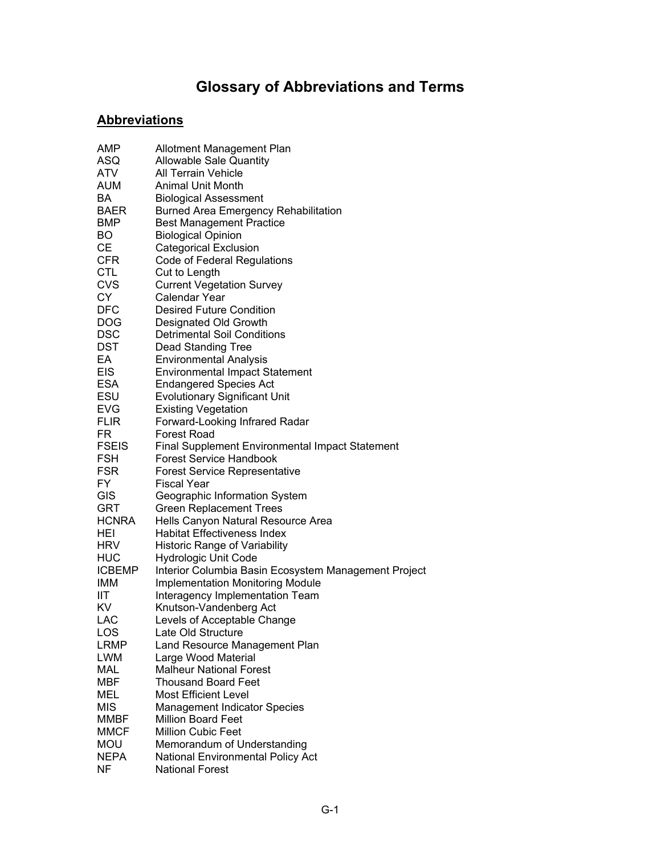## **Glossary of Abbreviations and Terms**

## **Abbreviations**

| AMP           | Allotment Management Plan                              |
|---------------|--------------------------------------------------------|
| ASQ           | <b>Allowable Sale Quantity</b>                         |
| ATV           | <b>All Terrain Vehicle</b>                             |
| AUM           | Animal Unit Month                                      |
| BA            | <b>Biological Assessment</b>                           |
| <b>BAER</b>   | <b>Burned Area Emergency Rehabilitation</b>            |
| <b>BMP</b>    | <b>Best Management Practice</b>                        |
| BO            | <b>Biological Opinion</b>                              |
| СE            | <b>Categorical Exclusion</b>                           |
| <b>CFR</b>    | Code of Federal Regulations                            |
| <b>CTL</b>    | Cut to Length                                          |
| <b>CVS</b>    | <b>Current Vegetation Survey</b>                       |
| <b>CY</b>     | Calendar Year                                          |
| <b>DFC</b>    | <b>Desired Future Condition</b>                        |
| <b>DOG</b>    | Designated Old Growth                                  |
| <b>DSC</b>    | <b>Detrimental Soil Conditions</b>                     |
| <b>DST</b>    | Dead Standing Tree                                     |
| EA            | <b>Environmental Analysis</b>                          |
| <b>EIS</b>    | <b>Environmental Impact Statement</b>                  |
| <b>ESA</b>    | <b>Endangered Species Act</b>                          |
| ESU           | <b>Evolutionary Significant Unit</b>                   |
| <b>EVG</b>    | <b>Existing Vegetation</b>                             |
| <b>FLIR</b>   | Forward-Looking Infrared Radar                         |
| FR            | <b>Forest Road</b>                                     |
| <b>FSEIS</b>  | <b>Final Supplement Environmental Impact Statement</b> |
| <b>FSH</b>    | <b>Forest Service Handbook</b>                         |
| <b>FSR</b>    | <b>Forest Service Representative</b>                   |
| FY.           | <b>Fiscal Year</b>                                     |
| <b>GIS</b>    | Geographic Information System                          |
| <b>GRT</b>    | <b>Green Replacement Trees</b>                         |
| HCNRA         | Hells Canyon Natural Resource Area                     |
| HEI           | <b>Habitat Effectiveness Index</b>                     |
| HRV           | <b>Historic Range of Variability</b>                   |
| <b>HUC</b>    | <b>Hydrologic Unit Code</b>                            |
| <b>ICBEMP</b> | Interior Columbia Basin Ecosystem Management Project   |
| IMM           | <b>Implementation Monitoring Module</b>                |
| ШT            | Interagency Implementation Team                        |
| KV            | Knutson-Vandenberg Act                                 |
| LAC           | Levels of Acceptable Change                            |
| LOS           | Late Old Structure                                     |
| LRMP          | Land Resource Management Plan                          |
| LWM           | Large Wood Material                                    |
| MAL           | <b>Malheur National Forest</b>                         |
| <b>MBF</b>    | <b>Thousand Board Feet</b>                             |
| <b>MEL</b>    | <b>Most Efficient Level</b>                            |
| <b>MIS</b>    | <b>Management Indicator Species</b>                    |
| <b>MMBF</b>   | <b>Million Board Feet</b>                              |
| <b>MMCF</b>   | <b>Million Cubic Feet</b>                              |
| <b>MOU</b>    | Memorandum of Understanding                            |
| <b>NEPA</b>   | National Environmental Policy Act                      |
| <b>NF</b>     | <b>National Forest</b>                                 |
|               |                                                        |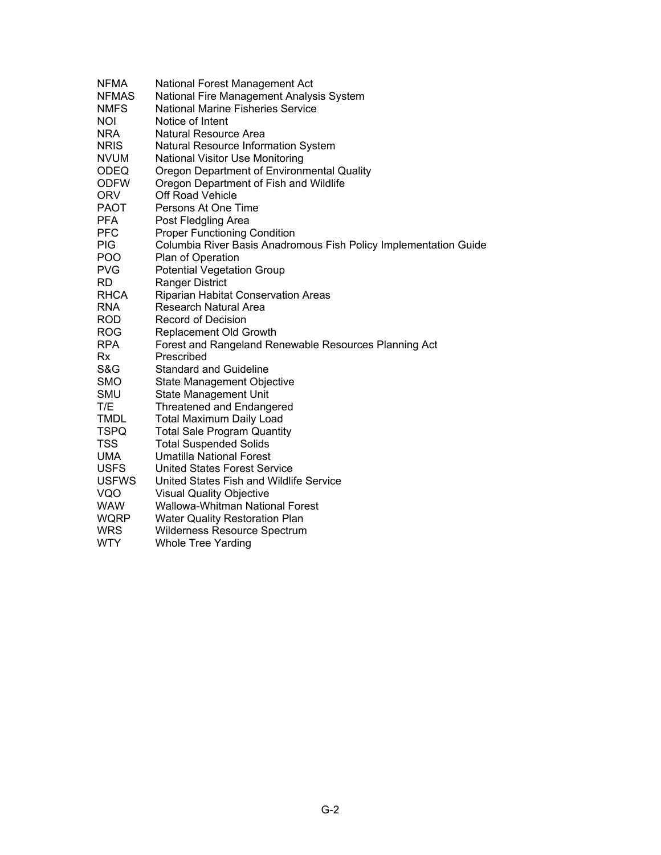| <b>NFMA</b>  | National Forest Management Act                                   |
|--------------|------------------------------------------------------------------|
| <b>NFMAS</b> | National Fire Management Analysis System                         |
| <b>NMFS</b>  | National Marine Fisheries Service                                |
| <b>NOI</b>   | Notice of Intent                                                 |
| <b>NRA</b>   | Natural Resource Area                                            |
| <b>NRIS</b>  | Natural Resource Information System                              |
| <b>NVUM</b>  | <b>National Visitor Use Monitoring</b>                           |
| <b>ODEQ</b>  | Oregon Department of Environmental Quality                       |
| <b>ODFW</b>  | Oregon Department of Fish and Wildlife                           |
| <b>ORV</b>   | Off Road Vehicle                                                 |
| <b>PAOT</b>  | Persons At One Time                                              |
| <b>PFA</b>   | Post Fledgling Area                                              |
| <b>PFC</b>   | <b>Proper Functioning Condition</b>                              |
| PIG.         | Columbia River Basis Anadromous Fish Policy Implementation Guide |
| <b>POO</b>   | Plan of Operation                                                |
| <b>PVG</b>   | <b>Potential Vegetation Group</b>                                |
| RD           | <b>Ranger District</b>                                           |
| RHCA         | Riparian Habitat Conservation Areas                              |
| <b>RNA</b>   | <b>Research Natural Area</b>                                     |
| <b>ROD</b>   | <b>Record of Decision</b>                                        |
| <b>ROG</b>   | Replacement Old Growth                                           |
| <b>RPA</b>   | Forest and Rangeland Renewable Resources Planning Act            |
| Rx           | Prescribed                                                       |
| S&G          | <b>Standard and Guideline</b>                                    |
| <b>SMO</b>   | State Management Objective                                       |
| SMU          | State Management Unit                                            |
| T/E          | <b>Threatened and Endangered</b>                                 |
| <b>TMDL</b>  | <b>Total Maximum Daily Load</b>                                  |
| <b>TSPQ</b>  | <b>Total Sale Program Quantity</b>                               |
| <b>TSS</b>   | <b>Total Suspended Solids</b>                                    |
| UMA          | <b>Umatilla National Forest</b>                                  |
| <b>USFS</b>  | <b>United States Forest Service</b>                              |
| <b>USFWS</b> | United States Fish and Wildlife Service                          |
| VQO          | <b>Visual Quality Objective</b>                                  |
| <b>WAW</b>   | Wallowa-Whitman National Forest                                  |
| <b>WQRP</b>  | <b>Water Quality Restoration Plan</b>                            |
| <b>WRS</b>   | Wilderness Resource Spectrum                                     |
| <b>WTY</b>   | <b>Whole Tree Yarding</b>                                        |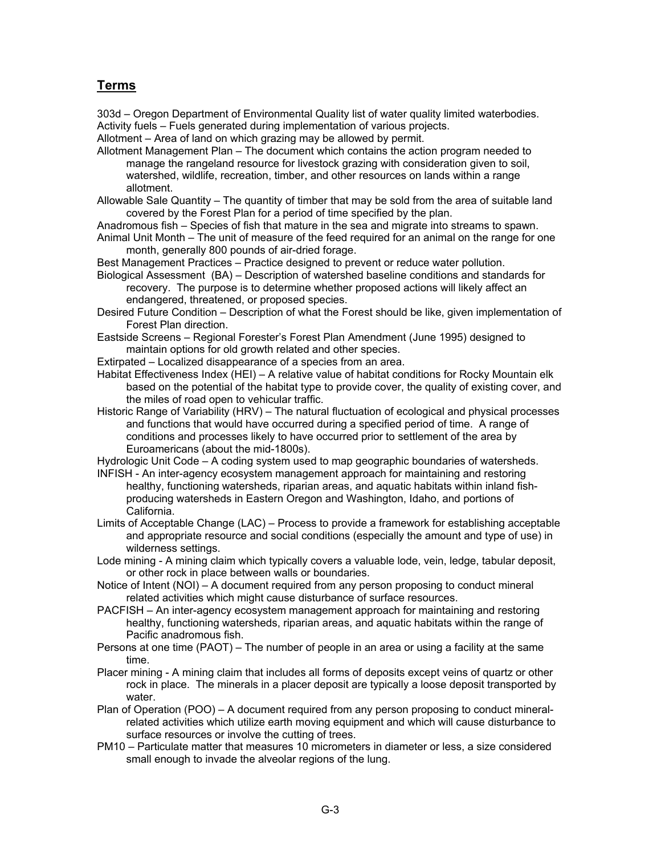## **Terms**

303d – Oregon Department of Environmental Quality list of water quality limited waterbodies. Activity fuels – Fuels generated during implementation of various projects.

Allotment – Area of land on which grazing may be allowed by permit.

Allotment Management Plan – The document which contains the action program needed to manage the rangeland resource for livestock grazing with consideration given to soil, watershed, wildlife, recreation, timber, and other resources on lands within a range allotment.

Allowable Sale Quantity – The quantity of timber that may be sold from the area of suitable land covered by the Forest Plan for a period of time specified by the plan.

- Anadromous fish Species of fish that mature in the sea and migrate into streams to spawn.
- Animal Unit Month The unit of measure of the feed required for an animal on the range for one month, generally 800 pounds of air-dried forage.

Best Management Practices – Practice designed to prevent or reduce water pollution.

Biological Assessment (BA) – Description of watershed baseline conditions and standards for recovery. The purpose is to determine whether proposed actions will likely affect an endangered, threatened, or proposed species.

Desired Future Condition – Description of what the Forest should be like, given implementation of Forest Plan direction.

Eastside Screens – Regional Forester's Forest Plan Amendment (June 1995) designed to maintain options for old growth related and other species.

Extirpated – Localized disappearance of a species from an area.

Habitat Effectiveness Index (HEI) – A relative value of habitat conditions for Rocky Mountain elk based on the potential of the habitat type to provide cover, the quality of existing cover, and the miles of road open to vehicular traffic.

Historic Range of Variability (HRV) – The natural fluctuation of ecological and physical processes and functions that would have occurred during a specified period of time. A range of conditions and processes likely to have occurred prior to settlement of the area by Euroamericans (about the mid-1800s).

Hydrologic Unit Code – A coding system used to map geographic boundaries of watersheds.

INFISH - An inter-agency ecosystem management approach for maintaining and restoring healthy, functioning watersheds, riparian areas, and aquatic habitats within inland fishproducing watersheds in Eastern Oregon and Washington, Idaho, and portions of California.

Limits of Acceptable Change (LAC) – Process to provide a framework for establishing acceptable and appropriate resource and social conditions (especially the amount and type of use) in wilderness settings.

Lode mining - A mining claim which typically covers a valuable lode, vein, ledge, tabular deposit, or other rock in place between walls or boundaries.

Notice of Intent (NOI) – A document required from any person proposing to conduct mineral related activities which might cause disturbance of surface resources.

PACFISH – An inter-agency ecosystem management approach for maintaining and restoring healthy, functioning watersheds, riparian areas, and aquatic habitats within the range of Pacific anadromous fish.

Persons at one time (PAOT) – The number of people in an area or using a facility at the same time.

Placer mining - A mining claim that includes all forms of deposits except veins of quartz or other rock in place. The minerals in a placer deposit are typically a loose deposit transported by water.

Plan of Operation (POO) – A document required from any person proposing to conduct mineralrelated activities which utilize earth moving equipment and which will cause disturbance to surface resources or involve the cutting of trees.

PM10 – Particulate matter that measures 10 micrometers in diameter or less, a size considered small enough to invade the alveolar regions of the lung.